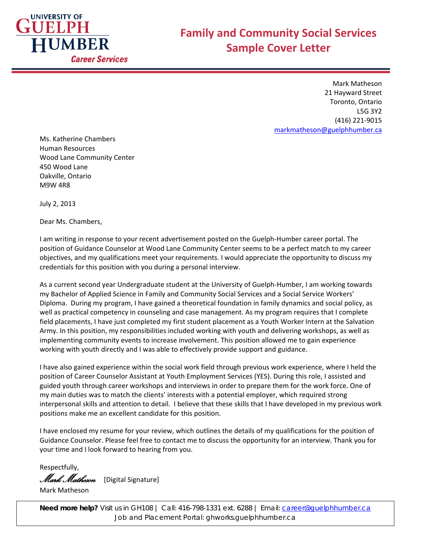

Mark Matheson 21 Hayward Street Toronto, Ontario L5G 3Y2 (416) 221-9015 [markmatheson@guelphhumber.ca](mailto:markmatheson@guelphhumber.ca)

Ms. Katherine Chambers Human Resources Wood Lane Community Center 450 Wood Lane Oakville, Ontario M9W 4R8

July 2, 2013

Dear Ms. Chambers,

I am writing in response to your recent advertisement posted on the Guelph-Humber career portal. The position of Guidance Counselor at Wood Lane Community Center seems to be a perfect match to my career objectives, and my qualifications meet your requirements. I would appreciate the opportunity to discuss my credentials for this position with you during a personal interview.

As a current second year Undergraduate student at the University of Guelph-Humber, I am working towards my Bachelor of Applied Science in Family and Community Social Services and a Social Service Workers' Diploma. During my program, I have gained a theoretical foundation in family dynamics and social policy, as well as practical competency in counseling and case management. As my program requires that I complete field placements, I have just completed my first student placement as a Youth Worker Intern at the Salvation Army. In this position, my responsibilities included working with youth and delivering workshops, as well as implementing community events to increase involvement. This position allowed me to gain experience working with youth directly and I was able to effectively provide support and guidance.

I have also gained experience within the social work field through previous work experience, where I held the position of Career Counselor Assistant at Youth Employment Services (YES). During this role, I assisted and guided youth through career workshops and interviews in order to prepare them for the work force. One of my main duties was to match the clients' interests with a potential employer, which required strong interpersonal skills and attention to detail. I believe that these skills that I have developed in my previous work positions make me an excellent candidate for this position.

I have enclosed my resume for your review, which outlines the details of my qualifications for the position of Guidance Counselor. Please feel free to contact me to discuss the opportunity for an interview. Thank you for your time and I look forward to hearing from you.

Respectfully,

Mark Matheson [Digital Signature]

Mark Matheson

**Need more help?** Visit us in GH108 | Call: 416-798-1331 ext. 6288 | Email: <u>career@guelphhumber.ca</u><br>Lab exact Descend Distribution webblished as a care-Job and Placement Portal: ghworks.guelphhumber.ca